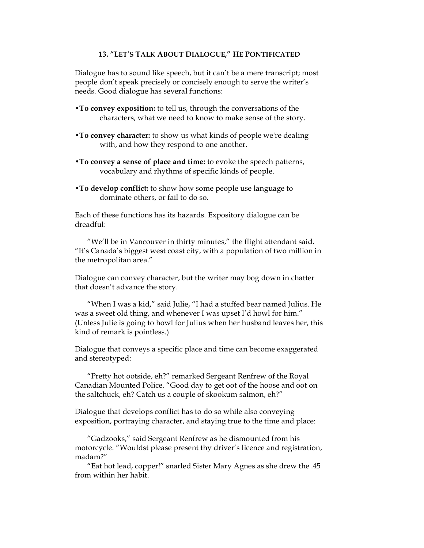## **13. "LET'S TALK ABOUT DIALOGUE," HE PONTIFICATED**

Dialogue has to sound like speech, but it can't be a mere transcript; most people don't speak precisely or concisely enough to serve the writer's needs. Good dialogue has several functions:

- **•To convey exposition:** to tell us, through the conversations of the characters, what we need to know to make sense of the story.
- **•To convey character:** to show us what kinds of people we're dealing with, and how they respond to one another.
- **•To convey a sense of place and time:** to evoke the speech patterns, vocabulary and rhythms of specific kinds of people.
- **•To develop conflict:** to show how some people use language to dominate others, or fail to do so.

Each of these functions has its hazards. Expository dialogue can be dreadful:

"We'll be in Vancouver in thirty minutes," the flight attendant said. "It's Canada's biggest west coast city, with a population of two million in the metropolitan area."

Dialogue can convey character, but the writer may bog down in chatter that doesn't advance the story.

"When I was a kid," said Julie, "I had a stuffed bear named Julius. He was a sweet old thing, and whenever I was upset I'd howl for him." (Unless Julie is going to howl for Julius when her husband leaves her, this kind of remark is pointless.)

Dialogue that conveys a specific place and time can become exaggerated and stereotyped:

"Pretty hot ootside, eh?" remarked Sergeant Renfrew of the Royal Canadian Mounted Police. "Good day to get oot of the hoose and oot on the saltchuck, eh? Catch us a couple of skookum salmon, eh?"

Dialogue that develops conflict has to do so while also conveying exposition, portraying character, and staying true to the time and place:

"Gadzooks," said Sergeant Renfrew as he dismounted from his motorcycle. "Wouldst please present thy driver's licence and registration, madam?"

"Eat hot lead, copper!" snarled Sister Mary Agnes as she drew the .45 from within her habit.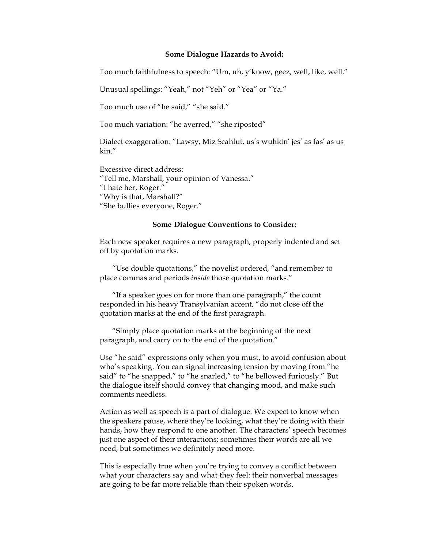## **Some Dialogue Hazards to Avoid:**

Too much faithfulness to speech: "Um, uh, y'know, geez, well, like, well."

Unusual spellings: "Yeah," not "Yeh" or "Yea" or "Ya."

Too much use of "he said," "she said."

Too much variation: "he averred," "she riposted"

Dialect exaggeration: "Lawsy, Miz Scahlut, us's wuhkin' jes' as fas' as us kin."

Excessive direct address: "Tell me, Marshall, your opinion of Vanessa." "I hate her, Roger." "Why is that, Marshall?" "She bullies everyone, Roger."

## **Some Dialogue Conventions to Consider:**

Each new speaker requires a new paragraph, properly indented and set off by quotation marks.

"Use double quotations," the novelist ordered, "and remember to place commas and periods *inside* those quotation marks."

"If a speaker goes on for more than one paragraph," the count responded in his heavy Transylvanian accent, "do not close off the quotation marks at the end of the first paragraph.

"Simply place quotation marks at the beginning of the next paragraph, and carry on to the end of the quotation."

Use "he said" expressions only when you must, to avoid confusion about who's speaking. You can signal increasing tension by moving from "he said" to "he snapped," to "he snarled," to "he bellowed furiously." But the dialogue itself should convey that changing mood, and make such comments needless.

Action as well as speech is a part of dialogue. We expect to know when the speakers pause, where they're looking, what they're doing with their hands, how they respond to one another. The characters' speech becomes just one aspect of their interactions; sometimes their words are all we need, but sometimes we definitely need more.

This is especially true when you're trying to convey a conflict between what your characters say and what they feel: their nonverbal messages are going to be far more reliable than their spoken words.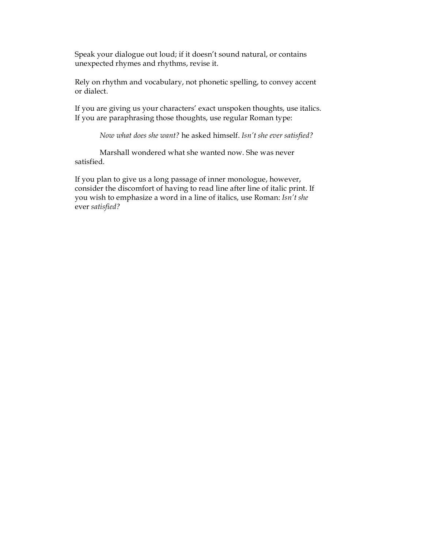Speak your dialogue out loud; if it doesn't sound natural, or contains unexpected rhymes and rhythms, revise it.

Rely on rhythm and vocabulary, not phonetic spelling, to convey accent or dialect.

If you are giving us your characters' exact unspoken thoughts, use italics. If you are paraphrasing those thoughts, use regular Roman type:

*Now what does she want?* he asked himself. *Isn't she ever satisfied?*

Marshall wondered what she wanted now. She was never satisfied.

If you plan to give us a long passage of inner monologue, however, consider the discomfort of having to read line after line of italic print. If you wish to emphasize a word in a line of italics, use Roman: *Isn't she* ever *satisfied?*